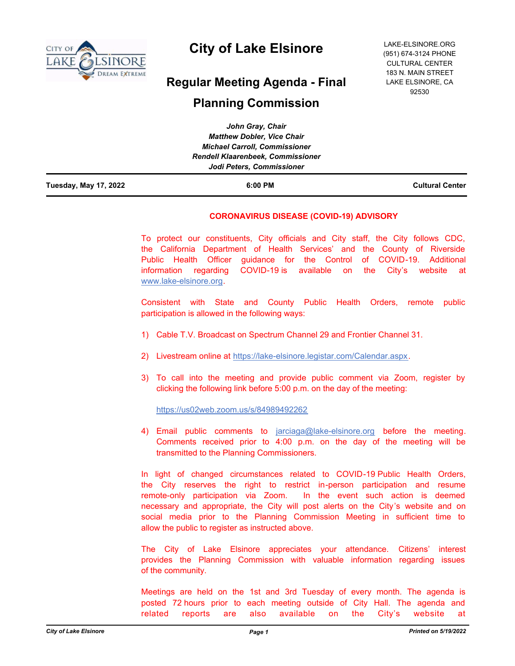

# **City of Lake Elsinore**

# **Regular Meeting Agenda - Final**

# **Planning Commission**

| Tuesday, May 17, 2022 | 6:00 PM                                  | <b>Cultural Center</b> |
|-----------------------|------------------------------------------|------------------------|
|                       | Jodi Peters, Commissioner                |                        |
|                       | <b>Rendell Klaarenbeek, Commissioner</b> |                        |
|                       | <b>Michael Carroll, Commissioner</b>     |                        |
|                       | <b>Matthew Dobler, Vice Chair</b>        |                        |
|                       | John Gray, Chair                         |                        |

# **CORONAVIRUS DISEASE (COVID-19) ADVISORY**

To protect our constituents, City officials and City staff, the City follows CDC, the California Department of Health Services' and the County of Riverside Public Health Officer guidance for the Control of COVID-19. Additional information regarding COVID-19 is available on the City's website at www.lake-elsinore.org.

Consistent with State and County Public Health Orders, remote public participation is allowed in the following ways:

- 1) Cable T.V. Broadcast on Spectrum Channel 29 and Frontier Channel 31.
- 2) Livestream online at https://lake-elsinore.legistar.com/Calendar.aspx.
- 3) To call into the meeting and provide public comment via Zoom, register by clicking the following link before 5:00 p.m. on the day of the meeting:

https://us02web.zoom.us/s/84989492262

4) Email public comments to jarciaga@lake-elsinore.org before the meeting. Comments received prior to 4:00 p.m. on the day of the meeting will be transmitted to the Planning Commissioners.

In light of changed circumstances related to COVID-19 Public Health Orders, the City reserves the right to restrict in-person participation and resume remote-only participation via Zoom. In the event such action is deemed necessary and appropriate, the City will post alerts on the City's website and on social media prior to the Planning Commission Meeting in sufficient time to allow the public to register as instructed above.

The City of Lake Elsinore appreciates your attendance. Citizens' interest provides the Planning Commission with valuable information regarding issues of the community.

Meetings are held on the 1st and 3rd Tuesday of every month. The agenda is posted 72 hours prior to each meeting outside of City Hall. The agenda and related reports are also available on the City's website at

LAKE-ELSINORE.ORG (951) 674-3124 PHONE CULTURAL CENTER 183 N. MAIN STREET LAKE ELSINORE, CA 92530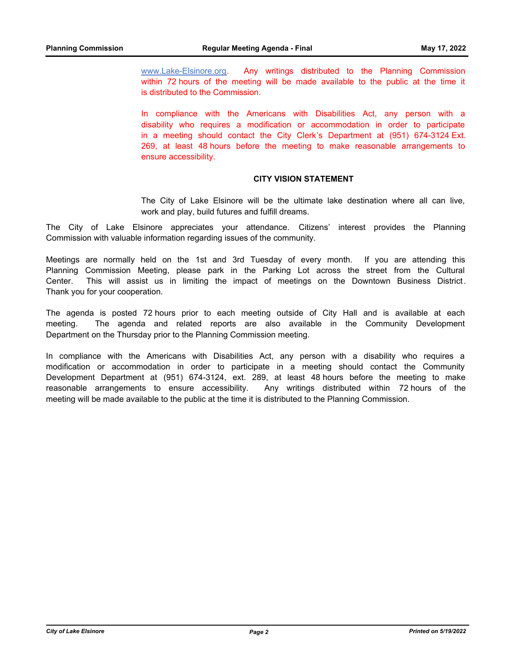www.Lake-Elsinore.org. Any writings distributed to the Planning Commission within 72 hours of the meeting will be made available to the public at the time it is distributed to the Commission.

In compliance with the Americans with Disabilities Act, any person with a disability who requires a modification or accommodation in order to participate in a meeting should contact the City Clerk's Department at (951) 674-3124 Ext. 269, at least 48 hours before the meeting to make reasonable arrangements to ensure accessibility.

#### **CITY VISION STATEMENT**

The City of Lake Elsinore will be the ultimate lake destination where all can live, work and play, build futures and fulfill dreams.

The City of Lake Elsinore appreciates your attendance. Citizens' interest provides the Planning Commission with valuable information regarding issues of the community.

Meetings are normally held on the 1st and 3rd Tuesday of every month. If you are attending this Planning Commission Meeting, please park in the Parking Lot across the street from the Cultural Center. This will assist us in limiting the impact of meetings on the Downtown Business District. Thank you for your cooperation.

The agenda is posted 72 hours prior to each meeting outside of City Hall and is available at each meeting. The agenda and related reports are also available in the Community Development Department on the Thursday prior to the Planning Commission meeting.

In compliance with the Americans with Disabilities Act, any person with a disability who requires a modification or accommodation in order to participate in a meeting should contact the Community Development Department at (951) 674-3124, ext. 289, at least 48 hours before the meeting to make reasonable arrangements to ensure accessibility. Any writings distributed within 72 hours of the meeting will be made available to the public at the time it is distributed to the Planning Commission.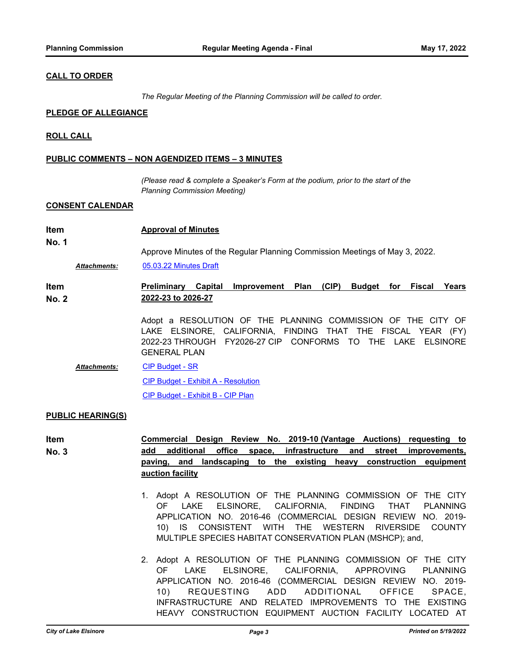# **CALL TO ORDER**

*The Regular Meeting of the Planning Commission will be called to order.*

### **PLEDGE OF ALLEGIANCE**

### **ROLL CALL**

### **PUBLIC COMMENTS – NON AGENDIZED ITEMS – 3 MINUTES**

*(Please read & complete a Speaker's Form at the podium, prior to the start of the Planning Commission Meeting)*

#### **CONSENT CALENDAR**

| Item  | <b>Approval of Minutes</b>                                                  |
|-------|-----------------------------------------------------------------------------|
| No. 1 |                                                                             |
|       | Approve Minutes of the Regular Planning Commission Meetings of May 3, 2022. |
|       |                                                                             |

*Attachments:* [05.03.22 Minutes Draft](http://lake-elsinore.legistar.com/gateway.aspx?M=F&ID=c4849ec8-7f99-4ed3-bab5-948274f3b9b8.pdf)

**Item No. 2 Preliminary Capital Improvement Plan (CIP) Budget for Fiscal Years 2022-23 to 2026-27**

> Adopt a RESOLUTION OF THE PLANNING COMMISSION OF THE CITY OF LAKE ELSINORE, CALIFORNIA, FINDING THAT THE FISCAL YEAR (FY) 2022-23 THROUGH FY2026-27 CIP CONFORMS TO THE LAKE ELSINORE GENERAL PLAN

[CIP Budget - SR](http://lake-elsinore.legistar.com/gateway.aspx?M=F&ID=34e109e3-969c-42b2-a629-ac6b4bb05a24.docx) [CIP Budget - Exhibit A - Resolution](http://lake-elsinore.legistar.com/gateway.aspx?M=F&ID=8a6b834b-94e6-4f34-a338-529078d3be74.docx) [CIP Budget - Exhibit B - CIP Plan](http://lake-elsinore.legistar.com/gateway.aspx?M=F&ID=7cb718a9-1e28-4c86-a46d-31094da6a4a7.pdf) *Attachments:*

#### **PUBLIC HEARING(S)**

**Item No. 3 Commercial Design Review No. 2019-10 (Vantage Auctions) requesting to add additional office space, infrastructure and street improvements, paving, and landscaping to the existing heavy construction equipment auction facility**

- 1. Adopt A RESOLUTION OF THE PLANNING COMMISSION OF THE CITY OF LAKE ELSINORE, CALIFORNIA, FINDING THAT PLANNING APPLICATION NO. 2016-46 (COMMERCIAL DESIGN REVIEW NO. 2019- 10) IS CONSISTENT WITH THE WESTERN RIVERSIDE COUNTY MULTIPLE SPECIES HABITAT CONSERVATION PLAN (MSHCP); and,
- 2. Adopt A RESOLUTION OF THE PLANNING COMMISSION OF THE CITY OF LAKE ELSINORE, CALIFORNIA, APPROVING PLANNING APPLICATION NO. 2016-46 (COMMERCIAL DESIGN REVIEW NO. 2019- 10) REQUESTING ADD ADDITIONAL OFFICE SPACE, INFRASTRUCTURE AND RELATED IMPROVEMENTS TO THE EXISTING HEAVY CONSTRUCTION EQUIPMENT AUCTION FACILITY LOCATED AT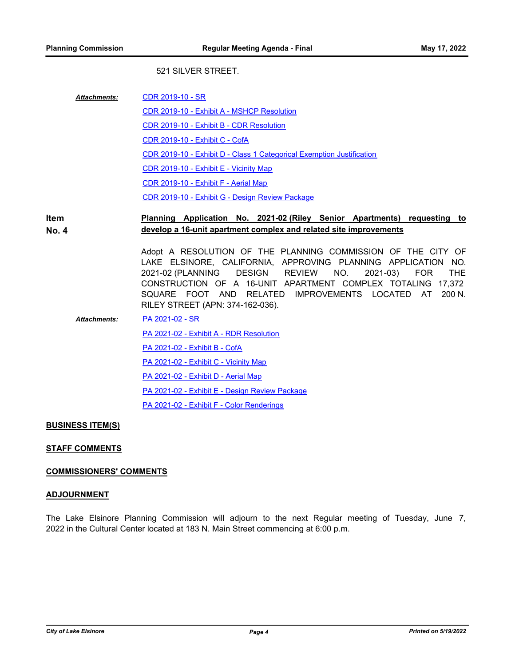# 521 SILVER STREET.

| <b>Attachments:</b> | CDR 2019-10 - SR                                                      |
|---------------------|-----------------------------------------------------------------------|
|                     | CDR 2019-10 - Exhibit A - MSHCP Resolution                            |
|                     | CDR 2019-10 - Exhibit B - CDR Resolution                              |
|                     | <b>CDR 2019-10 - Exhibit C - CofA</b>                                 |
|                     | CDR 2019-10 - Exhibit D - Class 1 Categorical Exemption Justification |
|                     | CDR 2019-10 - Exhibit E - Vicinity Map                                |
|                     | CDR 2019-10 - Exhibit F - Aerial Map                                  |
|                     | CDR 2019-10 - Exhibit G - Design Review Package                       |

#### **Item No. 4 Planning Application No. 2021-02 (Riley Senior Apartments) requesting to develop a 16-unit apartment complex and related site improvements**

Adopt A RESOLUTION OF THE PLANNING COMMISSION OF THE CITY OF LAKE ELSINORE, CALIFORNIA, APPROVING PLANNING APPLICATION NO. 2021-02 (PLANNING DESIGN REVIEW NO. 2021-03) FOR THE CONSTRUCTION OF A 16-UNIT APARTMENT COMPLEX TOTALING 17,372 SQUARE FOOT AND RELATED IMPROVEMENTS LOCATED AT 200 N. RILEY STREET (APN: 374-162-036).

[PA 2021-02 - SR](http://lake-elsinore.legistar.com/gateway.aspx?M=F&ID=c2ad9122-2e6c-4fd4-be07-63459db8bd2a.docx) [PA 2021-02 - Exhibit A - RDR Resolution](http://lake-elsinore.legistar.com/gateway.aspx?M=F&ID=f841fa19-5a5d-4226-9b33-f3afcefa04e0.docx) [PA 2021-02 - Exhibit B - CofA](http://lake-elsinore.legistar.com/gateway.aspx?M=F&ID=9fdc82d0-cc17-41bc-8bcf-4dd4b682596c.docx) [PA 2021-02 - Exhibit C - Vicinity Map](http://lake-elsinore.legistar.com/gateway.aspx?M=F&ID=839b3380-8d22-44ba-bf7a-47072ea9ab6e.pdf) [PA 2021-02 - Exhibit D - Aerial Map](http://lake-elsinore.legistar.com/gateway.aspx?M=F&ID=000f3eae-c91e-43a9-a2c4-ac11a37d56c2.pdf) [PA 2021-02 - Exhibit E - Design Review Package](http://lake-elsinore.legistar.com/gateway.aspx?M=F&ID=73ef095d-1812-4d88-b457-4febe9b74051.pdf) [PA 2021-02 - Exhibit F - Color Renderings](http://lake-elsinore.legistar.com/gateway.aspx?M=F&ID=d1ac8979-0758-487c-9e4b-bc32e959836d.pdf) *Attachments:*

# **BUSINESS ITEM(S)**

# **STAFF COMMENTS**

# **COMMISSIONERS' COMMENTS**

# **ADJOURNMENT**

The Lake Elsinore Planning Commission will adjourn to the next Regular meeting of Tuesday, June 7, 2022 in the Cultural Center located at 183 N. Main Street commencing at 6:00 p.m.